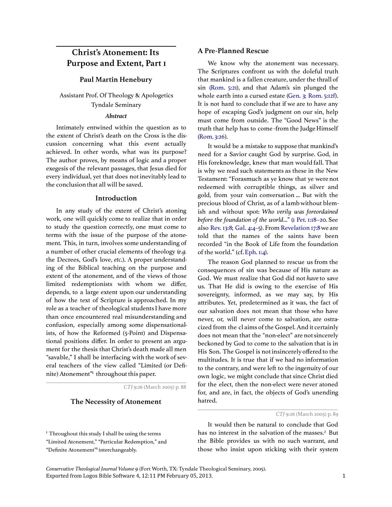# Christ's Atonement: Its Purpose and Extent, Part 1

#### Paul Martin Henebury

# Assistant Prof. Of Theology & Apologetics Tyndale Seminary

#### Abstract

Intimately entwined within the question as to the extent of Christ's death on the Cross is the discussion concerning what this event actually achieved. In other words, what was its purpose? The author proves, by means of logic and a proper exegesis of the relevant passages, that Jesus died for every individual, yet that does not inevitably lead to the conclusion that all will be saved.

#### Introduction

In any study of the extent of Christ's atoning work, one will quickly come to realize that in order to study the question correctly, one must come to terms with the issue of the purpose of the atonement. This, in turn, involves some understanding of a number of other crucial elements of theology (e.g. the Decrees, God's love, etc.). A proper understanding of the Biblical teaching on the purpose and extent of the atonement, and of the views of those limited redemptionists with whom we differ, depends, to a large extent upon our understanding of how the text of Scripture is approached. In my role as a teacher of theological students I have more than once encountered real misunderstanding and confusion, especially among some dispensationalists, of how the Reformed (5-Point) and Dispensational positions differ. In order to present an argument for the thesis that Christ's death made all men "savable," I shall be interfacing with the work of several teachers of the view called "Limited (or Definite) Atonement" throughout this paper.

CTJ 9:26 (March 2005) p. 88

## The Necessity of Atonement

 $<sup>I</sup>$  Throughout this study I shall be using the terms</sup> "Limited Atonement," "Particular Redemption," and "Definite Atonement"<sup>1</sup> interchangeably.

### A Pre-Planned Rescue

We know why the atonement was necessary. The Scriptures confront us with the doleful truth that mankind is a fallen creature, under the thrall of sin (Rom. 5:21), and that Adam's sin plunged the whole earth into a cursed estate (Gen. 3; Rom. 5:12f). It is not hard to conclude that if we are to have any hope of escaping God's judgment on our sin, help must come from outside. The "Good News" is the truth that help has to come -from the Judge Himself (Rom. 3:26).

It would be a mistake to suppose that mankind's need for a Savior caught God by surprise. God, in His foreknowledge, knew that man would fall. That is why we read such statements as these in the New Testament: "Forasmuch as ye know that ye were not redeemed with corruptible things, as silver and gold, from your vain conversation ... But with the precious blood of Christ, as of a lamb without blemish and without spot: Who verily was foreordained before the foundation of the world..." (1 Pet. 1:18–20. See also Rev. 13:8; Gal. 4:4–5). From Revelation 17:8we are told that the names of the saints have been recorded "in the Book of Life from the foundation of the world." (cf. Eph. 1:4).

The reason God planned to rescue us from the consequences of sin was because of His nature as God. We must realize that God did not have to save us. That He did is owing to the exercise of His sovereignty, informed, as we may say, by His attributes. Yet, predetermined as it was, the fact of our salvation does not mean that those who have never, or, will never come to salvation, are ostracized from the cl aims of the Gospel. And it certainly does not mean that the "non-elect" are not sincerely beckoned by God to come to the salvation that is in His Son. The Gospel is not insincerely offered to the multitudes. It is true that if we had no information to the contrary, and were left to the ingenuity of our own logic, we might conclude that since Christ died for the elect, then the non-elect were never atoned for, and are, in fact, the objects of God's unending hatred.

It would then be natural to conclude that God has no interest in the salvation of the masses.<sup>2</sup> But the Bible provides us with no such warrant, and those who insist upon sticking with their system

Exported from Logos Bible Software 4, 12:11 PM February 05, 2013. 1 Conservative Theological Journal Volume 9 (Fort Worth, TX: Tyndale Theological Seminary, 2005).

CTJ 9:26 (March 2005) p. 89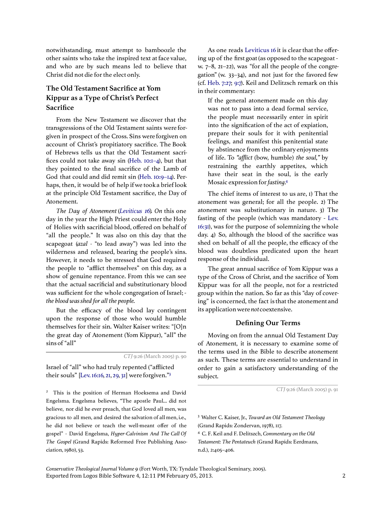notwithstanding, must attempt to bamboozle the other saints who take the inspired text at face value, and who are by such means led to believe that Christ did not die for the elect only.

# The Old Testament Sacrifice at Yom Kippur as a Type of Christ's Perfect **Sacrifice**

From the New Testament we discover that the transgressions of the Old Testament saints were forgiven in prospect of the Cross. Sins were forgiven on account of Christ's propitiatory sacrifice. The Book of Hebrews tells us that the Old Testament sacrifices could not take away sin (Heb. 10:1–4), but that they pointed to the final sacrifice of the Lamb of God that could and did remit sin (Heb. 10:9–14). Perhaps, then, it would be of help if we took a brief look at the principle Old Testament sacrifice, the Day of Atonement.

The Day of Atonement (Leviticus 16). On this one day in the year the High Priest could enter the Holy of Holies with sacrificial blood, offered on behalf of "all the people." It was also on this day that the scapegoat (azal - "to lead away") was led into the wilderness and released, bearing the people's sins. However, it needs to be stressed that God required the people to "afflict themselves" on this day, as a show of genuine repentance. From this we can see that the actual sacrificial and substitutionary blood was sufficient for the whole congregation of Israel; the blood was shed for all the people.

But the efficacy of the blood lay contingent upon the response of those who would humble themselves for their sin. Walter Kaiser writes: "[O]n the great day of Atonement (Yom Kippur), "all" the sins of "all"

CTJ 9:26 (March 2005) p. 90

Israel of "all" who had truly repented ("afflicted their souls" [Lev. 16:16, 21, 29, 31] were forgiven."<sup>3</sup>

<sup>2</sup> This is the position of Herman Hoeksema and David CTJ 9:26 (March 2005) p. 91 Engelsma. Engelsma believes, "The apostle Paul... did not believe, nor did he ever preach, that God loved all men, was gracious to all men, and desired the salvation of all men, i.e., he did not believe or teach the well-meant offer of the gospel" - David Engelsma, Hyper-Calvinism And The Call Of The Gospel (Grand Rapids: Reformed Free Publishing Association, 1980), 53.

As one reads Leviticus 16 it is clear that the offering up of the first goat (as opposed to the scapegoat w. 7–8, 21–22), was "for all the people of the congregation" (w.  $33-34$ ), and not just for the favored few (cf. Heb. 7:27; 9:7). Keil and Delitzsch remark on this in their commentary:

If the general atonement made on this day was not to pass into a dead formal service, the people must necessarily enter in spirit into the signification of the act of expiation, prepare their souls for it with penitential feelings, and manifest this penitential state by abstinence from the ordinary enjoyments of life. To "afflict (bow, humble) the soul," by restraining the earthly appetites, which have their seat in the soul, is the early Mosaic expression for fasting.<sup>4</sup>

The chief items of interest to us are, 1) That the atonement was general; for all the people. 2) The atonement was substitutionary in nature. 3) The fasting of the people (which was mandatory - Lev. 16:31), was for the purpose of solemnizing the whole day. 4) So, although the blood of the sacrifice was shed on behalf of all the people, the efficacy of the blood was doubtless predicated upon the heart response of the individual.

The great annual sacrifice of Yom Kippur was a type of the Cross of Christ, and the sacrifice of Yom Kippur was for all the people, not for a restricted group within the nation. So far as this "day of covering" is concerned, the fact is that the atonement and its application were notcoextensive.

### Defining Our Terms

Moving on from the annual Old Testament Day of Atonement, it is necessary to examine some of the terms used in the Bible to describe atonement as such. These terms are essential to understand in order to gain a satisfactory understanding of the subject.

<sup>4</sup> C. F. Keil and F. Delitszch, Commentary on the Old Testament: The Pentateuch (Grand Rapids: Eerdmans, n.d.), 2:405–406.

Exported from Logos Bible Software 4, 12:11 PM February 05, 2013. 2 Conservative Theological Journal Volume 9 (Fort Worth, TX: Tyndale Theological Seminary, 2005).

<sup>&</sup>lt;sup>3</sup> Walter C. Kaiser, Jr., Toward an Old Testament Theology (Grand Rapids: Zondervan, 1978), 117.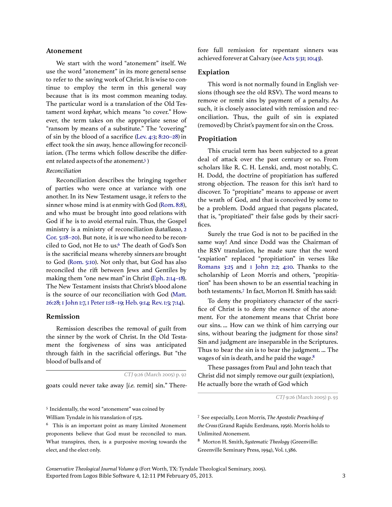#### Atonement

We start with the word "atonement" itself. We use the word "atonement" in its more general sense to refer to the saving work of Christ. It is wise to continue to employ the term in this general way because that is its most common meaning today. The particular word is a translation of the Old Testament word kephar, which means "to cover." However, the term takes on the appropriate sense of "ransom by means of a substitute." The "covering" of sin by the blood of a sacrifice (Lev. 4:3; 8:20–28) in effect took the sin away, hence allowing for reconciliation. (The terms which follow describe the different related aspects of the atonement.<sup>5</sup>)

#### Reconciliation

Reconciliation describes the bringing together of parties who were once at variance with one another. In its New Testament usage, it refers to the sinner whose mind is at enmity with God (Rom. 8:8), and who must be brought into good relations with God if he is to avoid eternal ruin. Thus, the Gospel ministry is a ministry of reconciliation (katallasso, 2 Cor. 5:18–20). But note, it is we who need to be reconciled to God, not He to us.<sup>6</sup> The death of God's Son is the sacrificial means whereby sinners are brought to God (Rom. 5:10). Not only that, but God has also reconciled the rift between Jews and Gentiles by making them "one new man" in Christ (Eph. 2:14–18). The New Testament insists that Christ's blood alone is the source of our reconciliation with God (Matt. 26:28; 1 John 1:7, 1 Peter 1:18–19; Heb. 9:14; Rev. 1:5; 7:14).

#### Remission

Remission describes the removal of guilt from the sinner by the work of Christ. In the Old Testament the forgiveness of sins was anticipated through faith in the sacrificial offerings. But "the blood of bulls and of

CTJ 9:26 (March 2005) p. 92

goats could never take away [i.e. remit] sin." There-

<sup>5</sup> Incidentally, the word "atonement" was coined by William Tyndale in his translation of 1525.

fore full remission for repentant sinners was achieved forever at Calvary (see Acts 5:31; 10:43).

#### Expiation

This word is not normally found in English versions (though see the old RSV). The word means to remove or remit sins by payment of a penalty. As such, it is closely associated with remission and reconciliation. Thus, the guilt of sin is expiated (removed) by Christ's payment for sin on the Cross.

### Propitiation

This crucial term has been subjected to a great deal of attack over the past century or so. From scholars like R. C. H. Lenski, and, most notably, C. H. Dodd, the doctrine of propitiation has suffered strong objection. The reason for this isn't hard to discover. To "propitiate" means to appease or avert the wrath of God, and that is conceived by some to be a problem. Dodd argued that pagans placated, that is, "propitiated" their false gods by their sacrifices.

Surely the true God is not to be pacified in the same way! And since Dodd was the Chairman of the RSV translation, he made sure that the word "expiation" replaced "propitiation" in verses like Romans 3:25 and 1 John 2:2; 4:10. Thanks to the scholarship of Leon Morris and others, "propitiation" has been shown to be an essential teaching in both testaments.<sup>7</sup> In fact, Morton H. Smith has said:

To deny the propitiatory character of the sacrifice of Christ is to deny the essence of the atonement. For the atonement means that Christ bore our sins. ... How can we think of him carrying our sins, without bearing the judgment for those sins? Sin and judgment are inseparable in the Scriptures. Thus to bear the sin is to bear the judgment. ... The wages of sin is death, and he paid the wage.<sup>8</sup>

These passages from Paul and John teach that Christ did not simply remove our guilt (expiation), He actually bore the wrath of God which

CTJ 9:26 (March 2005) p. 93

<sup>8</sup> Morton H. Smith, Systematic Theology (Greenville: Greenville Seminary Press, 1994), Vol. 1,386.

Exported from Logos Bible Software 4, 12:11 PM February 05, 2013. 3 Conservative Theological Journal Volume 9 (Fort Worth, TX: Tyndale Theological Seminary, 2005).

 $6$  This is an important point as many Limited Atonement proponents believe that God must be reconciled to man. What transpires, then, is a purposive moving towards the elect, and the elect only.

<sup>7</sup> See especially, Leon Morris, The Apostolic Preaching of the Cross(Grand Rapids: Eerdmans, 1956). Morris holds to Unlimited Atonement.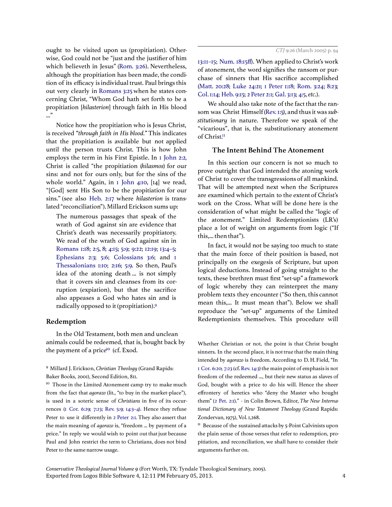ought to be visited upon us (propitiation). Otherwise, God could not be "just and the justifier of him which believeth in Jesus" (Rom. 3:26). Nevertheless, although the propitiation has been made, the condition of its efficacy is individual trust. Paul brings this out very clearly in Romans 3:25 when he states concerning Christ, "Whom God hath set forth to be a propitiation [hilasterion] through faith in His blood ..."

Notice how the propitiation who is Jesus Christ, is received "through faith in His blood." This indicates that the propitiation is available but not applied until the person trusts Christ. This is how John employs the term in his First Epistle. In 1 John 2:2, Christ is called "the propitiation (hilasmos) for our sins: and not for ours only, but for the sins of the whole world." Again, in 1 John 4:10, [14] we read, "[God] sent His Son to be the propitiation for our sins." (see also Heb. 2:17 where *hilasterion* is translated "reconciliation"). Millard Erickson sums up:

The numerous passages that speak of the wrath of God against sin are evidence that Christ's death was necessarily propitiatory. We read of the wrath of God against sin in Romans 1:18; 2:5, 8; 4:15; 5:9; 9:22; 12:19; 13:4–5; Ephesians 2:3; 5:6; Colossians 3:6; and 1 Thessalonians 1:10; 2:16; 5:9. So then, Paul's idea of the atoning death... is not simply that it covers sin and cleanses from its corruption (expiation), but that the sacrifice also appeases a God who hates sin and is radically opposed to it (propitiation).<sup>9</sup>

## Redemption

In the Old Testament, both men and unclean animals could be redeemed, that is, bought back by the payment of a price<sup>10</sup> (cf. Exod.

<sup>9</sup> Millard J. Erickson, Christian Theology (Grand Rapids: Baker Books, 2001), Second Edition, 811.

<sup>10</sup> Those in the Limited Atonement camp try to make much from the fact that *agorazo* (lit., "to buy in the market-place"), is used in a soteric sense of Christians in five of its occurrences (1 Cor. 6:29; 7:23; Rev. 5:9; 14:3–4). Hence they refuse Peter to use it differently in 2 Peter 2:1. They also assert that the main meaning of agorazo is, "freedom ... by payment of a price." In reply we would wish to point out that just because Paul and John restrict the term to Christians, does not bind Peter to the same narrow usage.

13:11–15; Num. 18:15ff). When applied to Christ's work of atonement, the word signifies the ransom or purchase of sinners that His sacrifice accomplished (Matt. 20:28; Luke 24:21; 1 Peter 1:18; Rom. 3:24; 8:23; Col. 1:14; Heb. 9:15; 2 Peter 2:1; Gal. 3:13; 4:5, etc.).

We should also take note of the fact that the ransom was Christ Himself (Rev. 1:5), and thus it was substitutionary in nature. Therefore we speak of the "vicarious", that is, the substitutionary atonement of Christ.<sup>11</sup>

#### The Intent Behind The Atonement

In this section our concern is not so much to prove outright that God intended the atoning work of Christ to cover the transgressions of all mankind. That will be attempted next when the Scriptures are examined which pertain to the extent of Christ's work on the Cross. What will be done here is the consideration of what might be called the "logic of the atonement." Limited Redemptionists (LR's) place a lot of weight on arguments from logic ("If this,... then that").

In fact, it would not be saying too much to state that the main force of their position is based, not principally on the exegesis of Scripture, but upon logical deductions. Instead of going straight to the texts, these brethren must first "set-up" a framework of logic whereby they can reinterpret the many problem texts they encounter ("So then, this cannot mean this,... It must mean that"). Below we shall reproduce the "set-up" arguments of the Limited Redemptionists themselves. This procedure will

Whether Christian or not, the point is that Christ bought sinners. In the second place, it is not true that the main thing intended by agorazo is freedom. According to D. H. Field, "In 1 Cor. 6:20; 7:23 (cf. Rev. 14:3) the main point of emphasis is not freedom of the redeemed ..., but their new status as slaves of God, bought with a price to do his will. Hence the sheer effrontery of heretics who "deny the Master who bought them" (2 Pet. 2:1)." - in Colin Brown, Editor, The New International Dictionary of New Testament Theology (Grand Rapids: Zondervan, 1975), Vol. 1,268.

 $11$  Because of the sustained attacks by 5-Point Calvinists upon the plain sense of those verses that refer to redemption, propitiation, and reconciliation, we shall have to consider their arguments further on.

Exported from Logos Bible Software 4, 12:11 PM February 05, 2013. 4 Conservative Theological Journal Volume 9 (Fort Worth, TX: Tyndale Theological Seminary, 2005).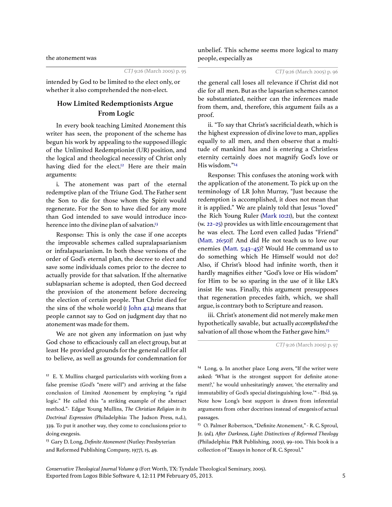the atonement was

unbelief. This scheme seems more logical to many people, especially as

CTJ 9:26 (March 2005) p. 95

intended by God to be limited to the elect only, or whether it also comprehended the non-elect.

# How Limited Redemptionists Argue From Logic

In every book teaching Limited Atonement this writer has seen, the proponent of the scheme has begun his work by appealing to the supposed illogic of the Unlimited Redemptionist (UR) position, and the logical and theological necessity of Christ only having died for the elect.<sup>12</sup> Here are their main arguments:

i. The atonement was part of the eternal redemptive plan of the Triune God. The Father sent the Son to die for those whom the Spirit would regenerate. For the Son to have died for any more than God intended to save would introduce incoherence into the divine plan of salvation.<sup>13</sup>

Response: This is only the case if one accepts the improvable schemes called supralapsarianism or infralapsarianism. In both these versions of the order of God's eternal plan, the decree to elect and save some individuals comes prior to the decree to actually provide for that salvation. If the alternative sublapsarian scheme is adopted, then God decreed the provision of the atonement before decreeing the election of certain people. That Christ died for the sins of the whole world  $(I_1)$  ohn 4:14) means that people cannot say to God on judgment day that no atonement was made for them.

We are not given any information on just why God chose to efficaciously call an elect group, but at least He provided grounds for the general call for all to believe, as well as grounds for condemnation for

<sup>13</sup> Gary D. Long, Definite Atonement (Nutley: Presbyterian and Reformed Publishing Company, 1977), 15, 49.

the general call loses all relevance if Christ did not die for all men. But as the lapsarian schemes cannot be substantiated, neither can the inferences made from them, and, therefore, this argument fails as a proof.

ii. "To say that Christ's sacrificial death, which is the highest expression of divine love to man, applies equally to all men, and then observe that a multitude of mankind has and is entering a Christless eternity certainly does not magnify God's love or His wisdom."<sup>14</sup>

Response: This confuses the atoning work with the application of the atonement. To pick up on the terminology of LR John Murray, "Just because the redemption is accomplished, it does not mean that it is applied." We are plainly told that Jesus "loved" the Rich Young Ruler (Mark 10:21), but the context (w.  $22-25$ ) provides us with little encouragement that he was elect. The Lord even called Judas "Friend" (Matt. 26:50)! And did He not teach us to love our enemies (Matt. 5:43-45)? Would He command us to do something which He Himself would not do? Also, if Christ's blood had infinite worth, then it hardly magnifies either "God's love or His wisdom" for Him to be so sparing in the use of it like LR's insist He was. Finally, this argument presupposes that regeneration precedes faith, which, we shall argue, is contrary both to Scripture and reason.

iii. Christ's atonement did not merely make men hypothetically savable, but actually accomplished the salvation of all those whom the Father gave him.<sup>15</sup>

<sup>14</sup> Long, 9. In another place Long avers, "If the writer were asked: 'What is the strongest support for definite atonement?,' he would unhesitatingly answer, 'the eternality and immutability of God's special distinguishing love.'" - Ibid. 59. Note how Long's best support is drawn from inferential arguments from other doctrines instead of exegesis of actual passages.

<sup>15</sup> O. Palmer Robertson, "Definite Atonement," - R. C. Sproul, Jr. (ed.), After Darkness, Light: Distinctives of Reformed Theology (Philadelphia: P&R Publishing, 2003), 99–100. This book is a collection of "Essays in honor of R. C. Sproul."

<sup>&</sup>lt;sup>12</sup> E. Y. Mullins charged particularists with working from a false premise (God's "mere will") and arriving at the false conclusion of Limited Atonement by employing "a rigid logic." He called this "a striking example of the abstract method."- Edgar Young Mullins, The Christian Religion in its Doctrinal Expression (Philadelphia: The Judson Press, n.d.), 339. To put it another way, they come to conclusions prior to doing exegesis.

CTJ 9:26 (March 2005) p. 97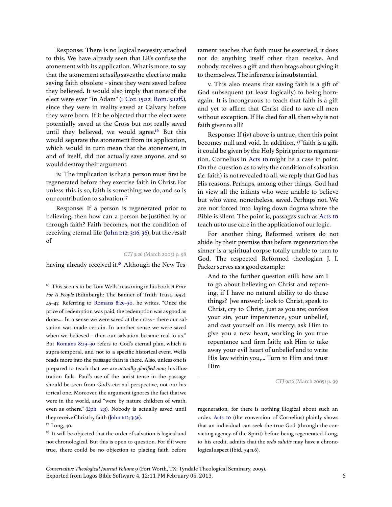Response: There is no logical necessity attached to this. We have already seen that LR's confuse the atonement with its application. What is more, to say that the atonement actuallysaves the elect is to make saving faith obsolete - since they were saved before they believed. It would also imply that none of the elect were ever "in Adam" (1 Cor. 15:22; Rom. 5:12ff.), since they were in reality saved at Calvary before they were born. If it be objected that the elect were potentially saved at the Cross but not really saved until they believed, we would agree.<sup>16</sup> But this would separate the atonement from its application, which would in turn mean that the atonement, in and of itself, did not actually save anyone, and so would destroy their argument.

iv. The implication is that a person must first be regenerated before they exercise faith in Christ. For unless this is so, faith is something we do, and so is our contribution to salvation.<sup>17</sup>

Response: If a person is regenerated prior to believing, then how can a person be justified by or through faith? Faith becomes, not the condition of receiving eternal life (John 1:12; 3:16, 36), but the result of

CTJ 9:26 (March 2005) p. 98

having already received it.<sup>18</sup> Although the New Tes-

 $16$  This seems to be Tom Wells' reasoning in his book, A Price For A People (Edinburgh: The Banner of Truth Trust, 1992), 45–47. Referring to Romans 8:29–30, he writes, "Once the price of redemption was paid, the redemption was as good as done.... In a sense we were saved at the cross - there our salvation was made certain. In another sense we were saved when we believed - then our salvation became real to us." But Romans 8:29–30 refers to God's eternal plan, which is supra-temporal, and not to a specific historical event. Wells reads more into the passage than is there. Also, unless one is prepared to teach that we are actually glorified now, his illustration fails. Paul's use of the aorist tense in the passage should be seen from God's eternal perspective, not our historical one. Moreover, the argument ignores the fact that we were in the world, and "were by nature children of wrath, even as others." (Eph. 2:3). Nobody is actually saved until they receive Christ by faith (John 1:12; 3:36).

<sup>17</sup> Long, 40.

 $18$  It will be objected that the order of salvation is logical and not chronological. But this is open to question. For if it were true, there could be no objection to placing faith before tament teaches that faith must be exercised, it does not do anything itself other than receive. And nobody receives a gift and then brags about giving it to themselves. The inference is insubstantial.

v. This also means that saving faith is a gift of God subsequent (at least logically) to being bornagain. It is incongruous to teach that faith is a gift and yet to affirm that Christ died to save all men without exception. If He died for all, then why is not faith given to all?

Response: If (iv) above is untrue, then this point becomes null and void. In addition, //"faith is a gift, it could be given by the Holy Spirit prior to regeneration. Cornelius in Acts 10 might be a case in point. On the question as to why the condition of salvation (i.e. faith) is not revealed to all, we reply that God has His reasons. Perhaps, among other things, God had in view all the infants who were unable to believe but who were, nonetheless, saved. Perhaps not. We are not forced into laying down dogma where the Bible is silent. The point is, passages such as Acts 10 teach us to use care in the application of our logic.

For another thing, Reformed writers do not abide by their premise that before regeneration the sinner is a spiritual corpse totally unable to turn to God. The respected Reformed theologian J. I. Packer serves as a good example:

And to the further question still: how am I to go about believing on Christ and repenting, if I have no natural ability to do these things? [we answer]: look to Christ, speak to Christ, cry to Christ, just as you are; confess your sin, your impenitence, your unbelief, and cast yourself on His mercy; ask Him to give you a new heart, working in you true repentance and firm faith; ask Him to take away your evil heart of unbelief and to write His law within you,... Turn to Him and trust Him

CTJ 9:26 (March 2005) p. 99

regeneration, for there is nothing illogical about such an order. Acts 10 (the conversion of Cornelius) plainly shows that an individual can seek the true God (through the convicting agency of the Spirit) before being regenerated. Long, to his credit, admits that the ordo salutis may have a chronological aspect (Ibid., 54 n.6).

Exported from Logos Bible Software 4, 12:11 PM February 05, 2013. 6 Conservative Theological Journal Volume 9 (Fort Worth, TX: Tyndale Theological Seminary, 2005).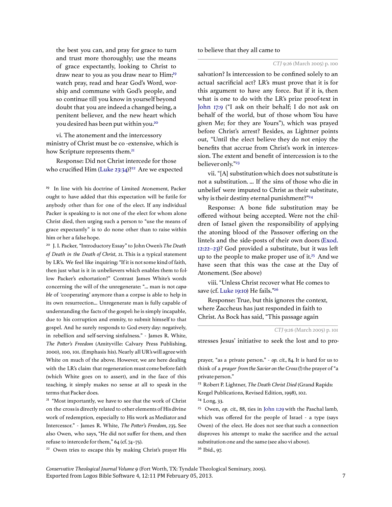the best you can, and pray for grace to turn and trust more thoroughly; use the means of grace expectantly, looking to Christ to draw near to you as you draw near to Him;<sup>19</sup> watch pray, read and hear God's Word, worship and commune with God's people, and so continue till you know in yourself beyond doubt that you are indeed a changed being, a penitent believer, and the new heart which you desired has been put within you.<sup>20</sup>

vi. The atonement and the intercessory ministry of Christ must be co -extensive, which is how Scripture represents them.<sup>21</sup>

Response: Did not Christ intercede for those who crucified Him (Luke 23:34)?<sup>22</sup> Are we expected

<sup>19</sup> In line with his doctrine of Limited Atonement, Packer ought to have added that this expectation will be futile for anybody other than for one of the elect. If any individual Packer is speaking to is not one of the elect for whom alone Christ died, then urging such a person to "use the means of grace expectantly" is to do none other than to raise within him or her a false hope.

<sup>20</sup> J. I. Packer, "Introductory Essay" to John Owen's The Death of Death in the Death of Christ, 21. This is a typical statement by LR's. We feel like inquiring: "If it is not some kind of faith, then just what is it in unbelievers which enables them to follow Packer's exhortation?" Contrast James White's words concerning the will of the unregenerate: "... man is not capable of 'cooperating' anymore than a corpse is able to help in its own resurrection... Unregenerate man is fully capable of understanding the facts of the gospel: he is simply incapable, due to his corruption and enmity, to submit himself to that gospel. And he surely responds to God every day: negatively, in rebellion and self-serving sinfulness." - James R. White, The Potter's Freedom (Amityville: Calvary Press Publishing, 2000), 100, 101. (Emphasis his). Nearly all UR's will agree with White on much of the above. However, we are here dealing with the LR's claim that regeneration must come before faith (which White goes on to assert), and in the face of this teaching, it simply makes no sense at all to speak in the terms that Packer does.

<sup>21</sup> "Most importantly, we have to see that the work of Christ on the cross is directly related to other elements of His divine work of redemption, especially to His work as Mediator and Intercessor." - James R. White, The Potter's Freedom, 235. See also Owen, who says, "He did not suffer for them, and then refuse to intercede for them," 64 (cf. 74–75).

<sup>22</sup> Owen tries to escape this by making Christ's prayer His

to believe that they all came to

salvation? Is intercession to be confined solely to an actual sacrificial act? LR's must prove that it is for this argument to have any force. But if it is, then what is one to do with the LR's prize proof-text in John 17:9 ("I ask on their behalf; I do not ask on behalf of the world, but of those whom You have given Me; for they are Yours"), which was prayed before Christ's arrest? Besides, as Lightner points out, "Until the elect believe they do not enjoy the benefits that accrue from Christ's work in intercession. The extent and benefit of intercession is to the believer only."<sup>23</sup>

vii. "[A] substitution which does not substitute is not a substitution. ... If the sins of those who die in unbelief were imputed to Christ as their substitute, why is their destiny eternal punishment?"<sup>24</sup>

Response: A bone fide substitution may be offered without being accepted. Were not the children of Israel given the responsibility of applying the atoning blood of the Passover offering on the lintels and the side-posts of their own doors (Exod. 12:22–23)? God provided a substitute, but it was le up to the people to make proper use of it.<sup>25</sup> And we have seen that this was the case at the Day of Atonement. (See above)

viii. "Unless Christ recover what He comes to save (cf. Luke 19:10) He fails."<sup>26</sup>

Response: True, but this ignores the context, where Zaccheus has just responded in faith to Christ. As Bock has said, "This passage again

stresses Jesus' initiative to seek the lost and to pro-

<sup>24</sup> Long, 33.

<sup>25</sup> Owen, op. cit., 88, ties in John 1:29 with the Paschal lamb, which was offered for the people of Israel - a type (says Owen) of the elect. He does not see that such a connection disproves his attempt to make the sacrifice and the actual substitution one and the same (see also vi above). <sup>26</sup> Ibid., 97.

CTJ 9:26 (March 2005) p. 100

CTJ 9:26 (March 2005) p. 101

prayer, "as a private person." - op. cit., 84. It is hard for us to think of a prayer from the Savior on the Cross(!) the prayer of "a private person."

<sup>&</sup>lt;sup>23</sup> Robert P. Lightner, *The Death Christ Died* (Grand Rapids: Kregel Publications, Revised Edition, 1998), 102.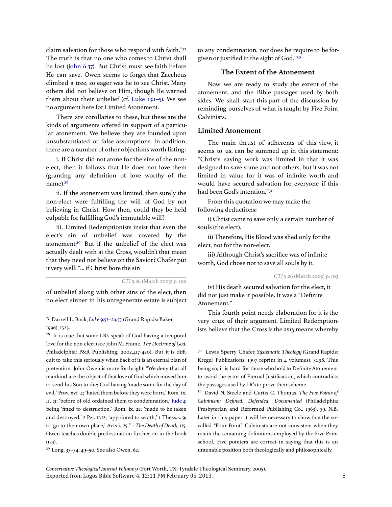claim salvation for those who respond with faith."<sup>27</sup> The truth is that no one who comes to Christ shall be lost (John 6:37). But Christ must see faith before He can save. Owen seems to forget that Zaccheus climbed a tree, so eager was he to see Christ. Many others did not believe on Him, though He warned them about their unbelief (cf. Luke 13:1–5). We see no argument here for Limited Atonement.

There are corollaries to these, but these are the kinds of arguments offered in support of a particular atonement. We believe they are founded upon unsubstantiated or false assumptions. In addition, there are a number of other objections worth listing:

i. If Christ did not atone for the sins of the nonelect, then it follows that He does not love them (granting any definition of love worthy of the name).<sup>28</sup>

ii. If the atonement was limited, then surely the non-elect were fulfilling the will of God by not believing in Christ. How then, could they be held culpable for fulfilling God's immutable will?

iii. Limited Redemptionists insist that even the elect's sin of unbelief was covered by the atonement.<sup>29</sup> But if the unbelief of the elect was actually dealt with at the Cross, wouldn't that mean that they need not believe on the Savior? Chafer put it very well: "... if Christ bore the sin

CTJ 9:26 (March 2005) p. 102

of unbelief along with other sins of the elect, then no elect sinner in his unregenerate estate is subject

<sup>27</sup> Darrell L. Bock, Luke 9:51-24:53 (Grand Rapids: Baker, 1996), 1523.

<sup>28</sup> It is true that some LR's speak of God having a temporal love for the non-elect (see John M. Frame, The Doctrine of God, Philadelphia: P&R Publishing, 2002,417-420). But it is difficult to take this seriously when back of it is an eternal plan of pretention. John Owen is more forthright: "We deny that all mankind are the object of that love of God which moved him to send his Son to die; God having 'made some for the day of evil,' Prov. xvi. 4; 'hated them before they were born,' Rom. ix. 11, 13; 'before of old ordained them to condemnation,' Jude 4; being 'fitted to destruction,' Rom. ix. 22; 'made to be taken and destroyed,' 2 Pet. 11.12; 'appointed to wrath,' 1 Thess. v. 9; to 'go to their own place,' Acts i. 25." - The Death of Death, 115. Owen teaches double predestination further on in the book (133).

<sup>29</sup> Long, 33–34, 49–50. See also Owen, 62.

to any condemnation, nor does he require to be forgiven or justified in the sight of God."<sup>30</sup>

### The Extent of the Atonement

Now we are ready to study the extent of the atonement, and the Bible passages used by both sides. We shall start this part of the discussion by reminding ourselves of what is taught by Five Point Calvinists.

#### Limited Atonement

The main thrust of adherents of this view, it seems to us, can be summed up in this statement: "Christ's saving work was limited in that it was designed to save some and not others, but it was not limited in value for it was of infinite worth and would have secured salvation for everyone if this had been God's intention."<sup>31</sup>

From this quotation we may make the following deductions:

i) Christ came to save only a certain number of souls (the elect).

ii) Therefore, His Blood was shed only for the elect, not for the non-elect.

iii) Although Christ's sacrifice was of infinite worth, God chose not to save all souls by it.

CTJ 9:26 (March 2005) p. 103

iv) His death secured salvation for the elect, it did not just make it possible. It was a "Definite Atonement."

This fourth point needs elaboration for it is the very crux of their argument. Limited Redemptionists believe that the Cross is the onlymeans whereby

<sup>30</sup> Lewis Sperry Chafer, Systematic Theology (Grand Rapids: Kregel Publications, 1997 reprint in 4 volumes), 3:198. This being so, it is hard for those who hold to Definite Atonement to avoid the error of Eternal Justification, which contradicts the passages used by LR's to prove their scheme.

<sup>31</sup> David N. Steele and Curtis C. Thomas, The Five Points of Calvinism: Defined, Defended, Documented (Philadelphia: Presbyterian and Reformed Publishing Co., 1963), 39. N.B. Later in this paper it will be necessary to show that the socalled "Four Point" Calvinists are not consistent when they retain the remaining definitions employed by the Five Point school. Five pointers are correct in saying that this is an untenable position both theologically and philosophically.

Exported from Logos Bible Software 4, 12:11 PM February 05, 2013. 8 Conservative Theological Journal Volume 9 (Fort Worth, TX: Tyndale Theological Seminary, 2005).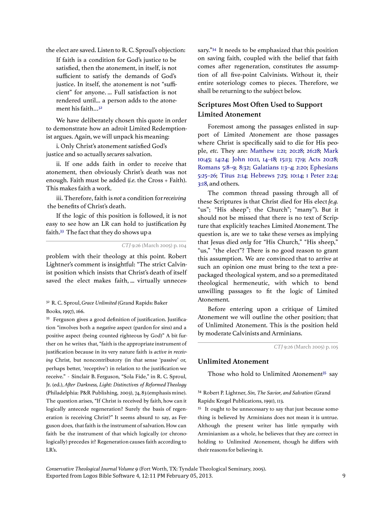the elect are saved. Listen to R. C. Sproul's objection:

If faith is a condition for God's justice to be satisfied, then the atonement, in itself, is not sufficient to satisfy the demands of God's justice. In itself, the atonement is not "sufficient" for anyone. ... Full satisfaction is not rendered until... a person adds to the atonement his faith...<sup>32</sup>

We have deliberately chosen this quote in order to demonstrate how an adroit Limited Redemptionist argues. Again, we will unpack his meaning:

i. Only Christ's atonement satisfied God's justice and so actually secures salvation.

ii. If one adds faith in order to receive that atonement, then obviously Christ's death was not enough. Faith must be added (i.e. the Cross + Faith). This makes faith a work.

iii. Therefore, faith is not a condition for receiving the benefits of Christ's death.

If the logic of this position is followed, it is not easy to see how an LR can hold to justification by faith.<sup>33</sup> The fact that they do shows up a

CTJ 9:26 (March 2005) p. 104

problem with their theology at this point. Robert Lightner's comment is insightful: "The strict Calvinist position which insists that Christ's death of itself saved the elect makes faith, ... virtually unneces-

### <sup>32</sup> R. C. Sproul, Grace Unlimited (Grand Rapids: Baker Books, 1997), 166.

<sup>33</sup> Ferguson gives a good definition of justification. Justification "involves both a negative aspect (pardon for sins) and a positive aspect (being counted righteous by God)" A bit further on he writes that, "faith is the appropriate instrument of justification because in its very nature faith is active in receiving Christ, but noncontributory (in that sense 'passive' or, perhaps better, 'receptive') in relation to the justification we receive." - Sinclair B. Ferguson, "Sola Fide," in R. C. Sproul, Jr. (ed.), After Darkness, Light: Distinctives of Reformed Theology (Philadelphia: P&R Publishing, 2003), 74, 83 (emphasis mine). The question arises, "If Christ is received by faith, how can it logically antecede regeneration? Surely the basis of regeneration is receiving Christ?" It seems absurd to say, as Ferguson does, that faith is the instrument of salvation. How can faith be the instrument of that which logically (or chronologically) precedes it? Regeneration causes faith according to LR's.

sary."<sup>34</sup> It needs to be emphasized that this position on saving faith, coupled with the belief that faith comes after regeneration, constitutes the assumption of all five-point Calvinists. Without it, their entire soteriology comes to pieces. Therefore, we shall be returning to the subject below.

# Scriptures Most Often Used to Support Limited Atonement

Foremost among the passages enlisted in support of Limited Atonement are those passages where Christ is specifically said to die for His people, etc. They are: Matthew 1:21; 20:28; 26:28; Mark 10:45; 14:24; John 10:11, 14–18; 15:13; 17:9; Acts 20:28; Romans 5:8–9; 8:32; Galatians 1:3–4; 2:20; Ephesians 5:25–26; Titus 2:14; Hebrews 7:25; 10:14; 1 Peter 2:24; 3:18, and others.

The common thread passing through all of these Scriptures is that Christ died for His elect {e.g. "us"; "His sheep"; the Church"; "many"). But it should not be missed that there is no text of Scripture that explicitly teaches Limited Atonement. The question is, are we to take these verses as implying that Jesus died only for "His Church," "His sheep," "us," "the elect"? There is no good reason to grant this assumption. We are convinced that to arrive at such an opinion one must bring to the text a prepackaged theological system, and so a premeditated theological hermeneutic, with which to bend unwilling passages to fit the logic of Limited Atonement.

Before entering upon a critique of Limited Atonement we will outline the other position; that of Unlimited Atonement. This is the position held by moderate Calvinists and Arminians.

CTJ 9:26 (March 2005) p. 105

#### Unlimited Atonement

Those who hold to Unlimited Atonement<sup>35</sup> say

<sup>34</sup> Robert P. Lightner, Sin, The Savior, and Salvation (Grand Rapids: Kregel Publications, 1991), 113.

<sup>35</sup> It ought to be unnecessary to say that just because something is believed by Arminians does not mean it is untrue. Although the present writer has little sympathy with Arminianism as a whole, he believes that they are correct in holding to Unlimited Atonement, though he differs with their reasons for believing it.

Exported from Logos Bible Software 4, 12:11 PM February 05, 2013. 9 Conservative Theological Journal Volume 9 (Fort Worth, TX: Tyndale Theological Seminary, 2005).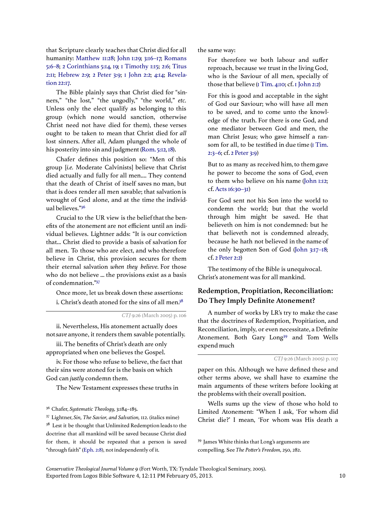that Scripture clearly teaches that Christ died for all humanity: Matthew 11:28; John 1:29; 3:16–17; Romans 5:6–8; 2 Corinthians 5:14, 19; 1 Timothy 1:15; 2:6; Titus 2:11; Hebrew 2:9; 2 Peter 3:9; 1 John 2:2; 4:14; Revelation 22:17.

The Bible plainly says that Christ died for "sinners," "the lost," "the ungodly," "the world," etc. Unless only the elect qualify as belonging to this group (which none would sanction, otherwise Christ need not have died for them), these verses ought to be taken to mean that Christ died for all lost sinners. After all, Adam plunged the whole of his posterity into sin and judgment (Rom. 5:12, 18).

Chafer defines this position so: "Men of this group [i.e. Moderate Calvinists] believe that Christ died actually and fully for all men.... They contend that the death of Christ of itself saves no man, but that is does render all men savable; that salvation is wrought of God alone, and at the time the individual believes."<sup>36</sup>

Crucial to the UR view is the belief that the benefits of the atonement are not efficient until an individual believes. Lightner adds: "It is our conviction that... Christ died to provide a basis of salvation for all men. To those who are elect, and who therefore believe in Christ, this provision secures for them their eternal salvation when they believe. For those who do not believe ... the provisions exist as a basis of condemnation."<sup>37</sup>

Once more, let us break down these assertions: i. Christ's death atoned for the sins of all men.<sup>38</sup>

CTJ 9:26 (March 2005) p. 106

ii. Nevertheless, His atonement actually does not save anyone, it renders them savable potentially.

iii. The benefits of Christ's death are only appropriated when one believes the Gospel.

iv. For those who refuse to believe, the fact that their sins were atoned for is the basis on which God can justly condemn them.

The New Testament expresses these truths in

<sup>36</sup> Chafer, Systematic Theology, 3:184-185.

<sup>37</sup> Lightner, Sin, The Savior, and Salvation, 112. (italics mine) <sup>38</sup> Lest it be thought that Unlimited Redemption leads to the doctrine that all mankind will be saved because Christ died for them, it should be repeated that a person is saved "through faith" (Eph. 2:8), not independently of it.

the same way:

For therefore we both labour and suffer reproach, because we trust in the living God, who is the Saviour of all men, specially of those that believe (1 Tim. 4:10; cf. 1 John 2:2)

For this is good and acceptable in the sight of God our Saviour; who will have all men to be saved, and to come unto the knowledge of the truth. For there is one God, and one mediator between God and men, the man Christ Jesus; who gave himself a ransom for all, to be testified in due time (1 Tim. 2:3–6; cf. 2 Peter 3:9)

But to as many as received him, to them gave he power to become the sons of God, even to them who believe on his name (John 1:12; cf. Acts 16:30–31)

For God sent not his Son into the world to condemn the world; but that the world through him might be saved. He that believeth on him is not condemned: but he that believeth not is condemned already, because he hath not believed in the name of the only begotten Son of God (John 3:17-18; cf. 2 Peter 2:2)

The testimony of the Bible is unequivocal. Christ's atonement was for all mankind.

# Redemption, Propitiation, Reconciliation: Do They Imply Definite Atonement?

A number of works by LR's try to make the case that the doctrines of Redemption, Propitiation, and Reconciliation, imply, or even necessitate, a Definite Atonement. Both Gary Long<sup>39</sup> and Tom Wells expend much

CTJ 9:26 (March 2005) p. 107

paper on this. Although we have defined these and other terms above, we shall have to examine the main arguments of these writers before looking at the problems with their overall position.

Wells sums up the view of those who hold to Limited Atonement: "When I ask, 'For whom did Christ die?' I mean, 'For whom was His death a

Exported from Logos Bible Software 4, 12:11 PM February 05, 2013. 10 Conservative Theological Journal Volume 9 (Fort Worth, TX: Tyndale Theological Seminary, 2005).

<sup>&</sup>lt;sup>39</sup> James White thinks that Long's arguments are compelling. See The Potter's Freedom, 250, 282.